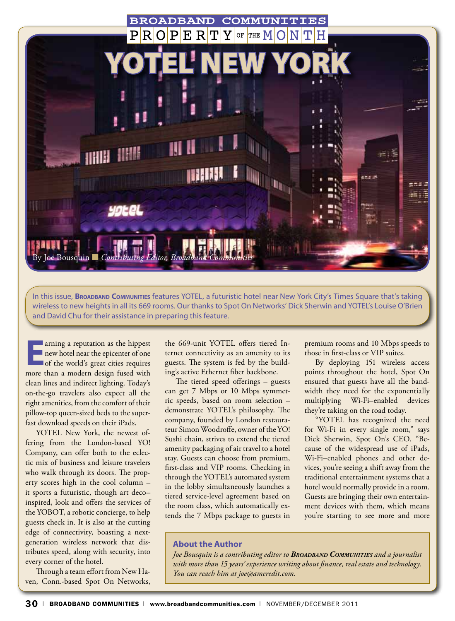

In this issue, **Broadband Communities** features YOTEL, a futuristic hotel near New York City's Times Square that's taking wireless to new heights in all its 669 rooms. Our thanks to Spot On Networks' Dick Sherwin and YOTEL's Louise O'Brien and David Chu for their assistance in preparing this feature.

**Earning a reputation as the hippest**<br> **EARLINE 18 replectively**<br> **EARLINE 18 replectively**<br> **EARLINE 18 replectively**<br> **EARLINE 18 replact**<br> **EARLINE 19 replact**<br> **EARLINE 19 replact**<br> **EARLINE 19 replact**<br> **EARLINE 19 re** new hotel near the epicenter of one more than a modern design fused with clean lines and indirect lighting. Today's on-the-go travelers also expect all the right amenities, from the comfort of their pillow-top queen-sized beds to the superfast download speeds on their iPads.

YOTEL New York, the newest offering from the London-based YO! Company, can offer both to the eclectic mix of business and leisure travelers who walk through its doors. The property scores high in the cool column – it sports a futuristic, though art deco– inspired, look and offers the services of the YOBOT, a robotic concierge, to help guests check in. It is also at the cutting edge of connectivity, boasting a nextgeneration wireless network that distributes speed, along with security, into every corner of the hotel.

Through a team effort from New Haven, Conn.-based Spot On Networks,

the 669-unit YOTEL offers tiered Internet connectivity as an amenity to its guests. The system is fed by the building's active Ethernet fiber backbone.

The tiered speed offerings – guests can get 7 Mbps or 10 Mbps symmetric speeds, based on room selection – demonstrate YOTEL's philosophy. The company, founded by London restaurateur Simon Woodroffe, owner of the YO! Sushi chain, strives to extend the tiered amenity packaging of air travel to a hotel stay. Guests can choose from premium, first-class and VIP rooms. Checking in through the YOTEL's automated system in the lobby simultaneously launches a tiered service-level agreement based on the room class, which automatically extends the 7 Mbps package to guests in

premium rooms and 10 Mbps speeds to those in first-class or VIP suites.

By deploying 151 wireless access points throughout the hotel, Spot On ensured that guests have all the bandwidth they need for the exponentially multiplying Wi-Fi–enabled devices they're taking on the road today.

"YOTEL has recognized the need for Wi-Fi in every single room," says Dick Sherwin, Spot On's CEO. "Because of the widespread use of iPads, Wi-Fi–enabled phones and other devices, you're seeing a shift away from the traditional entertainment systems that a hotel would normally provide in a room. Guests are bringing their own entertainment devices with them, which means you're starting to see more and more

# **About the Author**

*Joe Bousquin is a contributing editor to Broadband Communities and a journalist with more than 15 years' experience writing about finance, real estate and technology. You can reach him at joe@ameredit.com.*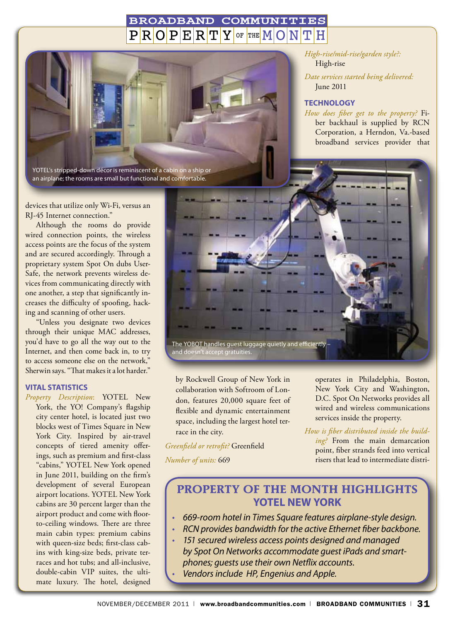#### **BROADBAND** COMMUNITIES  $P$  $R$  $O$  $P$  $E$  $R$  $T$  $Y$ OF THE  $M$   $O$   $N$   $T$   $H$



devices that utilize only Wi-Fi, versus an RJ-45 Internet connection."

Although the rooms do provide wired connection points, the wireless access points are the focus of the system and are secured accordingly. Through a proprietary system Spot On dubs User-Safe, the network prevents wireless devices from communicating directly with one another, a step that significantly increases the difficulty of spoofing, hacking and scanning of other users.

"Unless you designate two devices through their unique MAC addresses, you'd have to go all the way out to the Internet, and then come back in, to try to access someone else on the network," Sherwin says. "That makes it a lot harder."

#### **Vital Statistics**

*Property Description*: YOTEL New York, the YO! Company's flagship city center hotel, is located just two blocks west of Times Square in New York City. Inspired by air-travel concepts of tiered amenity offerings, such as premium and first-class "cabins," YOTEL New York opened in June 2011, building on the firm's development of several European airport locations. YOTEL New York cabins are 30 percent larger than the airport product and come with floorto-ceiling windows. There are three main cabin types: premium cabins with queen-size beds; first-class cabins with king-size beds, private terraces and hot tubs; and all-inclusive, double-cabin VIP suites, the ultimate luxury. The hotel, designed

*High-rise/mid-rise/garden style?:* High-rise

*Date services started being delivered:* June 2011

#### **Technology**

*How does fiber get to the property?* Fiber backhaul is supplied by RCN Corporation, a Herndon, Va.-based broadband services provider that



by Rockwell Group of New York in collaboration with Softroom of London, features 20,000 square feet of flexible and dynamic entertainment space, including the largest hotel terrace in the city.

*Greenfield or retrofit?* Greenfield *Number of units:* 669

operates in Philadelphia, Boston, New York City and Washington, D.C. Spot On Networks provides all wired and wireless communications services inside the property.

*How is fiber distributed inside the building?* From the main demarcation point, fiber strands feed into vertical risers that lead to intermediate distri-

# **Property of the Month Highlights YOTEL New York**

- *• 669-room hotel in Times Square features airplane-style design.*
- *• RCN provides bandwidth for the active Ethernet fiber backbone.*
- *• 151 secured wireless access points designed and managed by Spot On Networks accommodate guest iPads and smartphones; guests use their own Netflix accounts.*
- *• Vendorsinclude HP, Engenius and Apple.*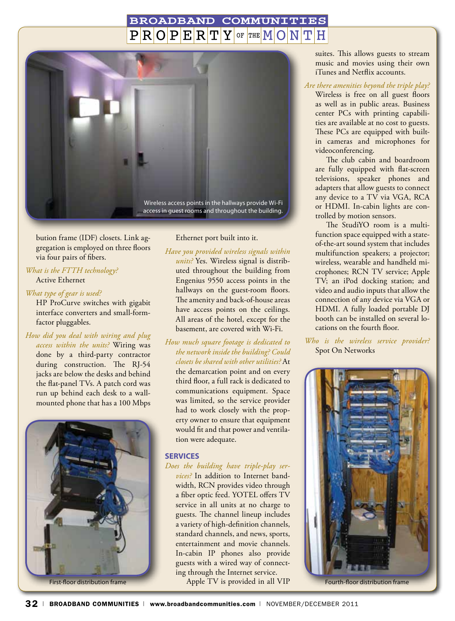#### **BROADBAND** COMMUNITIES  $\bf \rm R|\bf O|\bf P|\bf E|\bf R|\bf T|Y|$  of the  $\bf M|\bf O|\bf N|$ Н



bution frame (IDF) closets. Link aggregation is employed on three floors via four pairs of fibers.

# *What is the FTTH technology?* Active Ethernet

#### *What type of gear is used?*

HP ProCurve switches with gigabit interface converters and small-formfactor pluggables.

*How did you deal with wiring and plug access within the units?* Wiring was

done by a third-party contractor during construction. The RJ-54 jacks are below the desks and behind the flat-panel TVs. A patch cord was run up behind each desk to a wallmounted phone that has a 100 Mbps



## Ethernet port built into it.

*Have you provided wireless signals within units?* Yes. Wireless signal is distributed throughout the building from Engenius 9550 access points in the hallways on the guest-room floors. The amenity and back-of-house areas have access points on the ceilings. All areas of the hotel, except for the basement, are covered with Wi-Fi.

*How much square footage is dedicated to the network inside the building? Could closets be shared with other utilities?* At the demarcation point and on every third floor, a full rack is dedicated to communications equipment. Space was limited, so the service provider had to work closely with the property owner to ensure that equipment would fit and that power and ventilation were adequate.

#### **Services**

# *Does the building have triple-play ser-*

*vices?* In addition to Internet bandwidth, RCN provides video through a fiber optic feed. YOTEL offers TV service in all units at no charge to guests. The channel lineup includes a variety of high-definition channels, standard channels, and news, sports, entertainment and movie channels. In-cabin IP phones also provide guests with a wired way of connecting through the Internet service.

First-floor distribution frame TV is provided in all VIP Fourth-floor distribution frame Fourth-floor distribution frame

suites. This allows guests to stream music and movies using their own iTunes and Netflix accounts.

#### *Are there amenities beyond the triple play?*

Wireless is free on all guest floors as well as in public areas. Business center PCs with printing capabilities are available at no cost to guests. These PCs are equipped with builtin cameras and microphones for videoconferencing.

The club cabin and boardroom are fully equipped with flat-screen televisions, speaker phones and adapters that allow guests to connect any device to a TV via VGA, RCA or HDMI. In-cabin lights are controlled by motion sensors.

The StudiYO room is a multifunction space equipped with a stateof-the-art sound system that includes multifunction speakers; a projector; wireless, wearable and handheld microphones; RCN TV service; Apple TV; an iPod docking station; and video and audio inputs that allow the connection of any device via VGA or HDMI. A fully loaded portable DJ booth can be installed on several locations on the fourth floor.

*Who is the wireless service provider?*  Spot On Networks